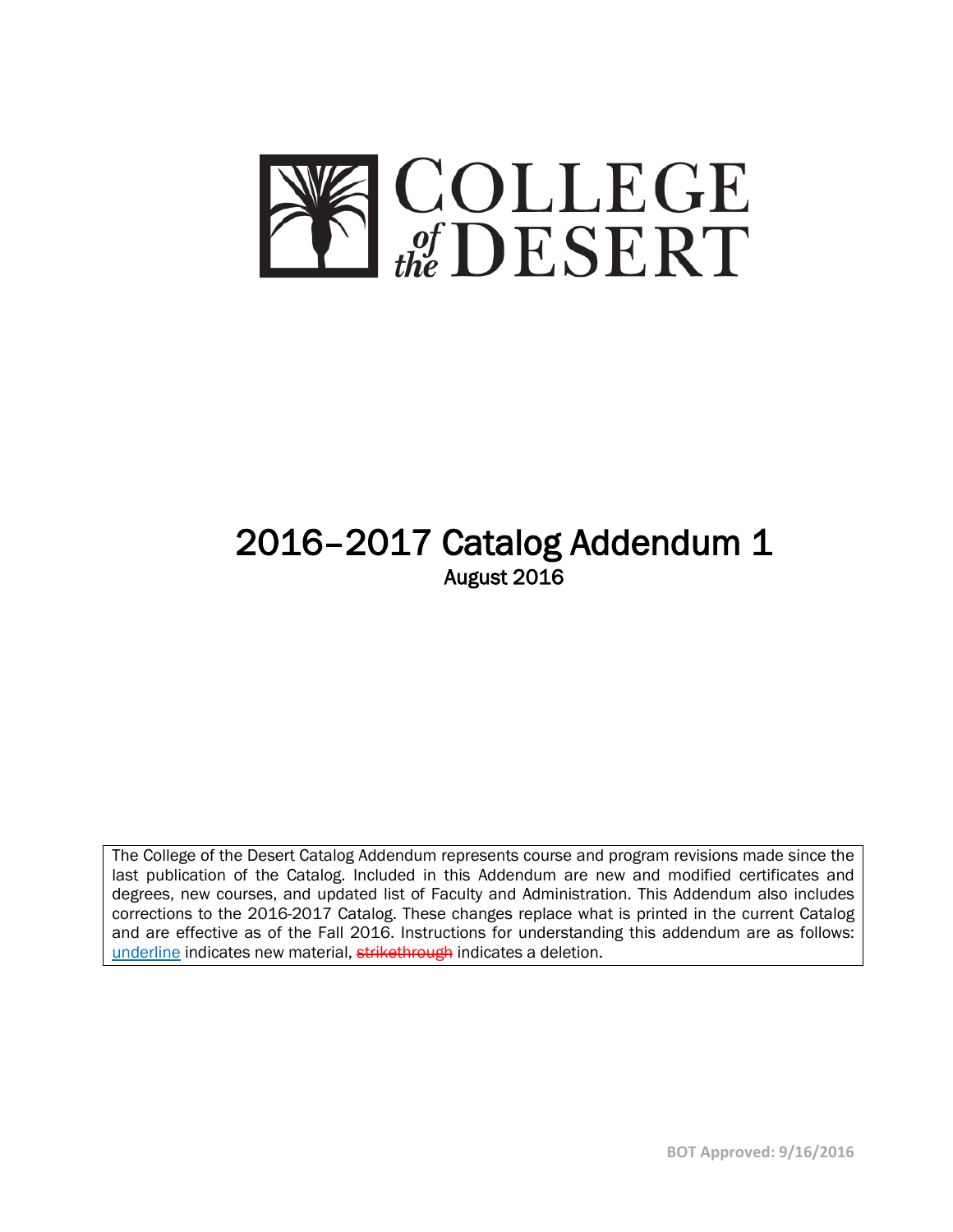

# 2016–2017 Catalog Addendum 1<br>August 2016

The College of the Desert Catalog Addendum represents course and program revisions made since the last publication of the Catalog. Included in this Addendum are new and modified certificates and degrees, new courses, and updated list of Faculty and Administration. This Addendum also includes corrections to the 2016-2017 Catalog. These changes replace what is printed in the current Catalog and are effective as of the Fall 2016. Instructions for understanding this addendum are as follows: underline indicates new material, strikethrough indicates a deletion.

**BOT Approved: 9/16/2016**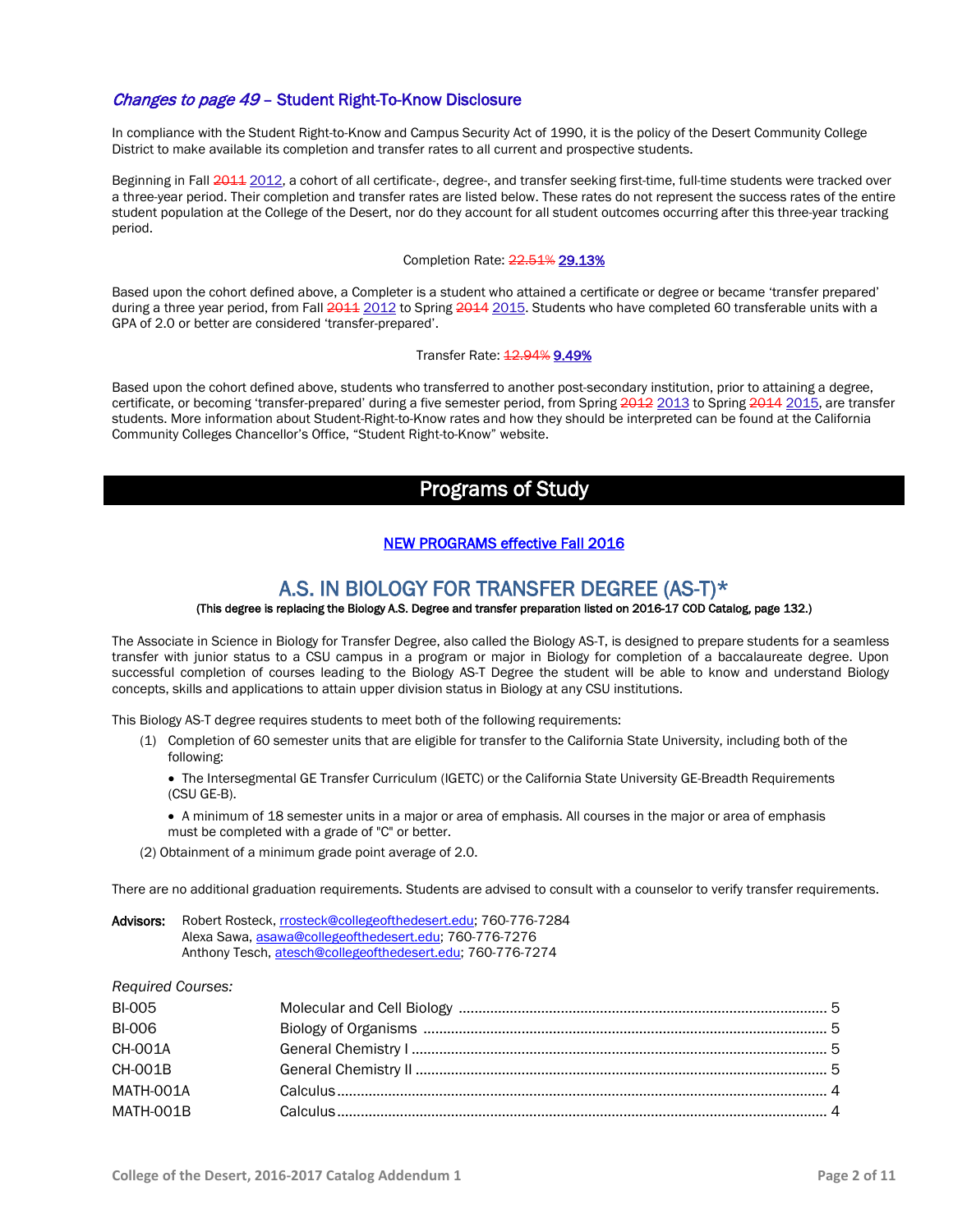### Changes to page 49 – Student Right-To-Know Disclosure

In compliance with the Student Right-to-Know and Campus Security Act of 1990, it is the policy of the Desert Community College District to make available its completion and transfer rates to all current and prospective students.

Beginning in Fall 2011, a cohort of all certificate-, degree-, and transfer seeking first-time, full-time students were tracked over a three-year period. Their completion and transfer rates are listed below. These rates do not represent the success rates of the entire student population at the College of the Desert, nor do they account for all student outcomes occurring after this three-year tracking period.

Completion Rate: 22.51% 29.13%

Based upon the cohort defined above, a Completer is a student who attained a certificate or degree or became 'transfer prepared' during a three year period, from Fall 2011 2012 to Spring 2014 2015. Students who have completed 60 transferable units with a GPA of 2.0 or better are considered 'transfer-prepared'.

### Transfer Rate: 12.94% 9.49%

Based upon the cohort defined above, students who transferred to another post-secondary institution, prior to attaining a degree, certificate, or becoming 'transfer-prepared' during a five semester period, from Spring 2012 2013 to Spring 2014 2015, are transfer students. More information about Student-Right-to-Know rates and how they should be interpreted can be found at the California Community Colleges Chancellor's Office, "Student Right-to-Know" website.

## Programs of Study

### NEW PROGRAMS effective Fall 2016

## A.S. IN BIOLOGY FOR TRANSFER DEGREE  $(AS-T)^*$ <br>(This degree is replacing the Biology A.S. Degree and transfer preparation listed on 2016-17 COD Catalog, page 132.)

The Associate in Science in Biology for Transfer Degree, also called the Biology AS-T, is designed to prepare students for a seamless transfer with junior status to a CSU campus in a program or major in Biology for completion of a baccalaureate degree. Upon successful completion of courses leading to the Biology AS-T Degree the student will be able to know and understand Biology concepts, skills and applications to attain upper division status in Biology at any CSU institutions.

This Biology AS-T degree requires students to meet both of the following requirements:

- (1) Completion of 60 semester units that are eligible for transfer to the California State University, including both of the following:
	- The Intersegmental GE Transfer Curriculum (IGETC) or the California State University GE-Breadth Requirements (CSU GE-B).
	- A minimum of 18 semester units in a major or area of emphasis. All courses in the major or area of emphasis must be completed with a grade of "C" or better.
- (2) Obtainment of a minimum grade point average of 2.0.

There are no additional graduation requirements. Students are advised to consult with a counselor to verify transfer requirements.

Advisors: Robert Rosteck[, rrosteck@collegeofthedesert.edu;](mailto:rrosteck@collegeofthedesert.edu) 760-776-7284 Alexa Sawa[, asawa@collegeofthedesert.edu;](mailto:asawa@collegeofthedesert.edu) 760-776-7276 Anthony Tesch[, atesch@collegeofthedesert.edu;](mailto:atesch@collegeofthedesert.edu) 760-776-7274

*Required Courses:* 

| <b>BI-005</b>  |  |
|----------------|--|
| <b>BI-006</b>  |  |
| <b>CH-001A</b> |  |
| <b>CH-001B</b> |  |
| MATH-001A      |  |
| MATH-001B      |  |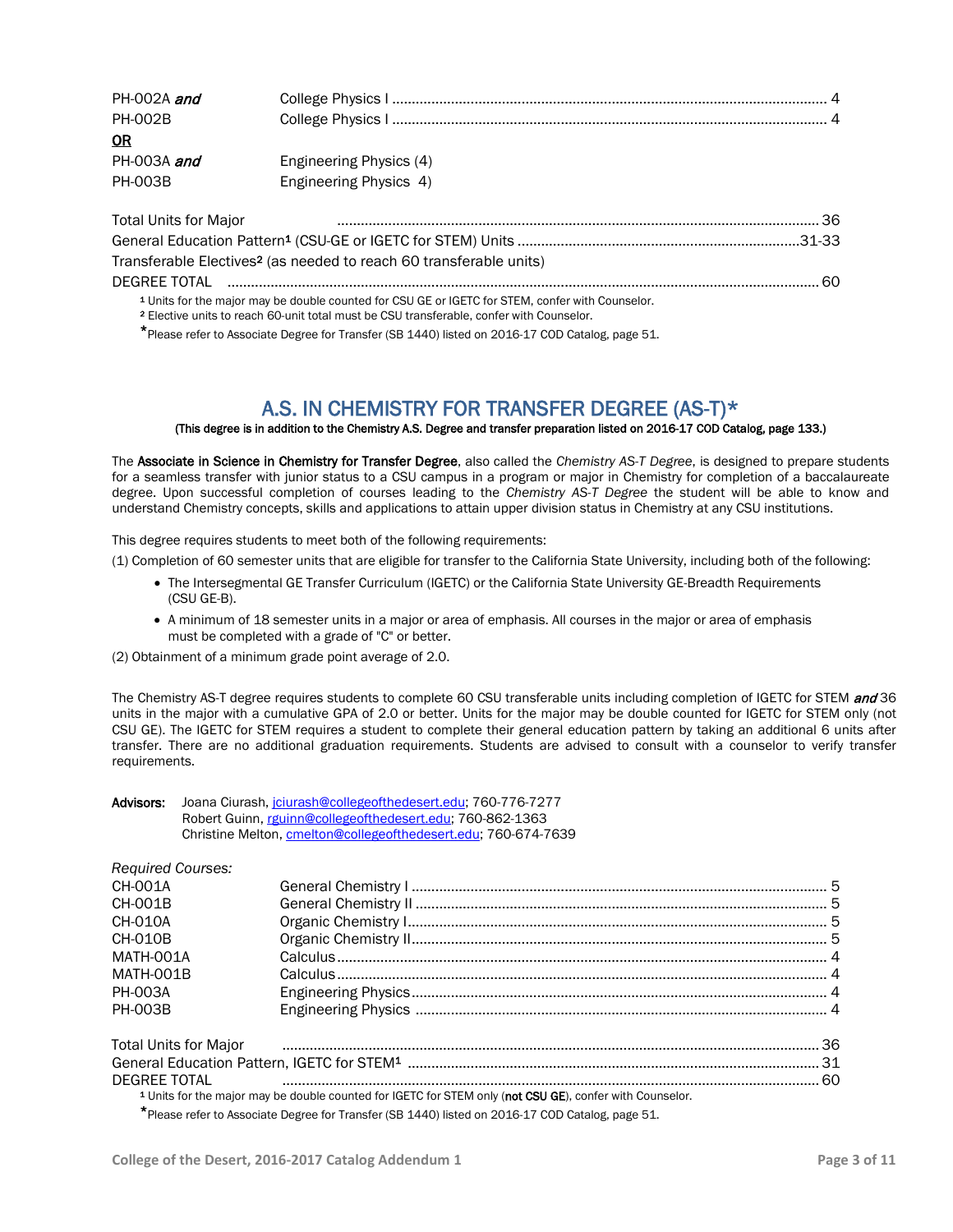| PH-002A and    |                         |
|----------------|-------------------------|
| <b>PH-002B</b> |                         |
| 0R             |                         |
| PH-003A and    | Engineering Physics (4) |
| <b>PH-003B</b> | Engineering Physics 4)  |
|                |                         |

| <b>Total Units for Major</b>                                                                                                                                                                                      |  |
|-------------------------------------------------------------------------------------------------------------------------------------------------------------------------------------------------------------------|--|
|                                                                                                                                                                                                                   |  |
| Transferable Electives <sup>2</sup> (as needed to reach 60 transferable units)                                                                                                                                    |  |
|                                                                                                                                                                                                                   |  |
| <sup>1</sup> Units for the major may be double counted for CSU GE or IGETC for STEM, confer with Counselor.<br>9 Figure  in the top speak CO contracted procedure COU top selection the conferential Occurrent of |  |

<sup>2</sup> Elective units to reach 60-unit total must be CSU transferable, confer with Counselor.

\*Please refer to Associate Degree for Transfer (SB 1440) listed on 2016-17 COD Catalog, page 51.

# A.S. IN CHEMISTRY FOR TRANSFER DEGREE (AS-T)\*<br>(This degree is in addition to the Chemistry A.S. Degree and transfer preparation listed on 2016-17 COD Catalog, page 133.)

The Associate in Science in Chemistry for Transfer Degree, also called the *Chemistry AS-T Degree*, is designed to prepare students for a seamless transfer with junior status to a CSU campus in a program or major in Chemistry for completion of a baccalaureate degree. Upon successful completion of courses leading to the *Chemistry AS-T Degree* the student will be able to know and understand Chemistry concepts, skills and applications to attain upper division status in Chemistry at any CSU institutions.

This degree requires students to meet both of the following requirements:

(1) Completion of 60 semester units that are eligible for transfer to the California State University, including both of the following:

- The Intersegmental GE Transfer Curriculum (IGETC) or the California State University GE-Breadth Requirements (CSU GE-B).
- A minimum of 18 semester units in a major or area of emphasis. All courses in the major or area of emphasis must be completed with a grade of "C" or better.
- (2) Obtainment of a minimum grade point average of 2.0.

The Chemistry AS-T degree requires students to complete 60 CSU transferable units including completion of IGETC for STEM and 36 units in the major with a cumulative GPA of 2.0 or better. Units for the major may be double counted for IGETC for STEM only (not CSU GE). The IGETC for STEM requires a student to complete their general education pattern by taking an additional 6 units after transfer. There are no additional graduation requirements. Students are advised to consult with a counselor to verify transfer requirements.

| Advisors: | Joana Ciurash, joiurash@collegeofthedesert.edu: 760-776-7277   |
|-----------|----------------------------------------------------------------|
|           | Robert Guinn, rguinn@collegeofthedesert.edu; 760-862-1363      |
|           | Christine Melton, cmelton@collegeofthedesert.edu, 760-674-7639 |

| <b>Required Courses:</b> |  |
|--------------------------|--|
| 0.410041                 |  |

| <b>CH-001A</b> |                                                                                                                                                                                                                                     |  |
|----------------|-------------------------------------------------------------------------------------------------------------------------------------------------------------------------------------------------------------------------------------|--|
| CH-001B        |                                                                                                                                                                                                                                     |  |
| CH-010A        |                                                                                                                                                                                                                                     |  |
| <b>CH-010B</b> |                                                                                                                                                                                                                                     |  |
| MATH-001A      |                                                                                                                                                                                                                                     |  |
| MATH-001B      |                                                                                                                                                                                                                                     |  |
| <b>PH-003A</b> |                                                                                                                                                                                                                                     |  |
| <b>PH-003B</b> |                                                                                                                                                                                                                                     |  |
|                | Total Units for Major <b>construents</b> and the construction of the construction of the construction of the construction of the construction of the construction of the construction of the construction of the construction of th |  |
|                |                                                                                                                                                                                                                                     |  |
| DEGREE TOTAL   |                                                                                                                                                                                                                                     |  |
|                | <sup>1</sup> Units for the major may be double counted for IGETC for STEM only (not CSU GE), confer with Counselor.                                                                                                                 |  |
|                |                                                                                                                                                                                                                                     |  |

Please refer to Associate Degree for Transfer (SB 1440) listed on 2016-17 COD Catalog, page 51.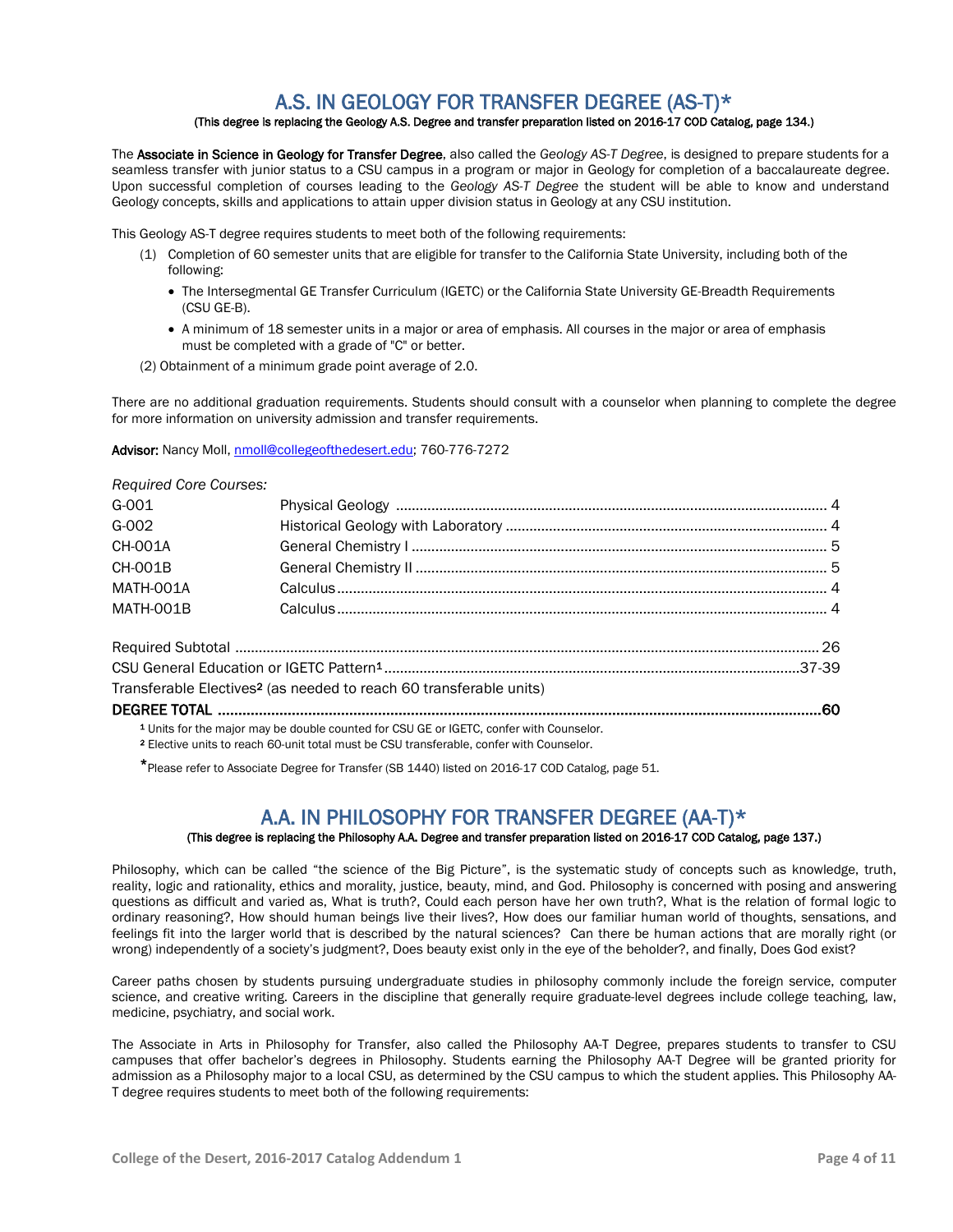# A.S. IN GEOLOGY FOR TRANSFER DEGREE  $(AS-T)^*$ <br>(This degree is replacing the Geology A.S. Degree and transfer preparation listed on 2016-17 COD Catalog, page 134.)

The Associate in Science in Geology for Transfer Degree, also called the *Geology AS-T Degree*, is designed to prepare students for a seamless transfer with junior status to a CSU campus in a program or major in Geology for completion of a baccalaureate degree. Upon successful completion of courses leading to the *Geology AS-T Degree* the student will be able to know and understand Geology concepts, skills and applications to attain upper division status in Geology at any CSU institution.

This Geology AS-T degree requires students to meet both of the following requirements:

- (1) Completion of 60 semester units that are eligible for transfer to the California State University, including both of the following:
	- The Intersegmental GE Transfer Curriculum (IGETC) or the California State University GE-Breadth Requirements (CSU GE-B).
	- A minimum of 18 semester units in a major or area of emphasis. All courses in the major or area of emphasis must be completed with a grade of "C" or better.
- (2) Obtainment of a minimum grade point average of 2.0.

There are no additional graduation requirements. Students should consult with a counselor when planning to complete the degree for more information on university admission and transfer requirements.

### Advisor: Nancy Moll[, nmoll@collegeofthedesert.edu;](mailto:nmoll@collegeofthedesert.edu) 760-776-7272

### *Required Core Courses:*

| $G - 001$      |                                                                                                    |  |
|----------------|----------------------------------------------------------------------------------------------------|--|
| G-002          |                                                                                                    |  |
| <b>CH-001A</b> |                                                                                                    |  |
| CH-001B        |                                                                                                    |  |
| MATH-001A      |                                                                                                    |  |
| MATH-001B      |                                                                                                    |  |
|                |                                                                                                    |  |
|                |                                                                                                    |  |
|                | Transferable Electives <sup>2</sup> (as needed to reach 60 transferable units)                     |  |
|                |                                                                                                    |  |
|                | <sup>1</sup> Units for the major may be double counted for CSU GE or IGETC, confer with Counselor. |  |
|                |                                                                                                    |  |

<sup>2</sup> Elective units to reach 60-unit total must be CSU transferable, confer with Counselor.

\*Please refer to Associate Degree for Transfer (SB 1440) listed on 2016-17 COD Catalog, page 51.

# A.A. IN PHILOSOPHY FOR TRANSFER DEGREE (AA-T)\*<br>(This degree is replacing the Philosophy A.A. Degree and transfer preparation listed on 2016-17 COD Catalog, page 137.)

Philosophy, which can be called "the science of the Big Picture", is the systematic study of concepts such as knowledge, truth, reality, logic and rationality, ethics and morality, justice, beauty, mind, and God. Philosophy is concerned with posing and answering questions as difficult and varied as, What is truth?, Could each person have her own truth?, What is the relation of formal logic to ordinary reasoning?, How should human beings live their lives?, How does our familiar human world of thoughts, sensations, and feelings fit into the larger world that is described by the natural sciences? Can there be human actions that are morally right (or wrong) independently of a society's judgment?, Does beauty exist only in the eye of the beholder?, and finally, Does God exist?

Career paths chosen by students pursuing undergraduate studies in philosophy commonly include the foreign service, computer science, and creative writing. Careers in the discipline that generally require graduate-level degrees include college teaching, law, medicine, psychiatry, and social work.

The Associate in Arts in Philosophy for Transfer, also called the Philosophy AA-T Degree, prepares students to transfer to CSU campuses that offer bachelor's degrees in Philosophy. Students earning the Philosophy AA-T Degree will be granted priority for admission as a Philosophy major to a local CSU, as determined by the CSU campus to which the student applies. This Philosophy AA-T degree requires students to meet both of the following requirements: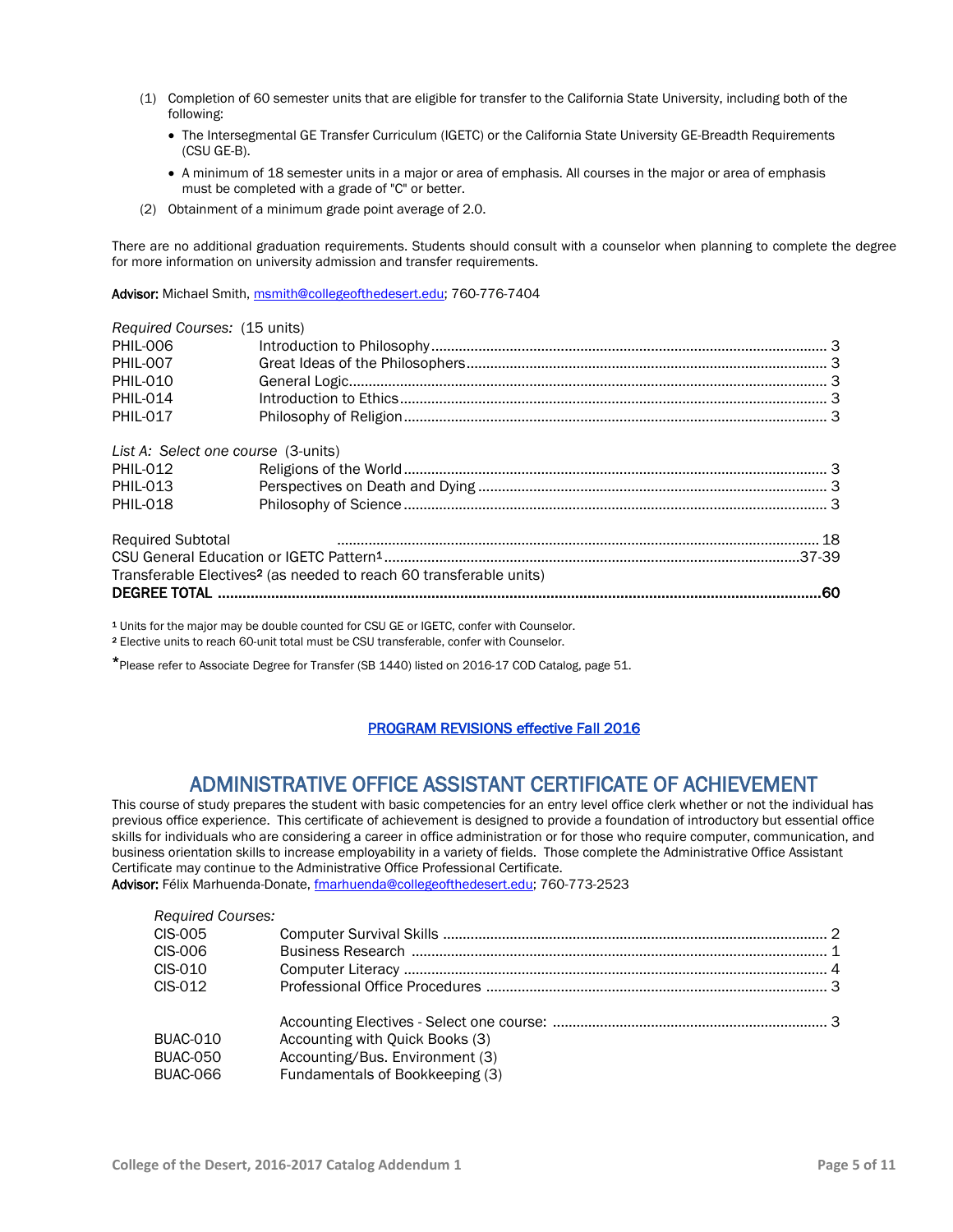- (1) Completion of 60 semester units that are eligible for transfer to the California State University, including both of the following:
	- The Intersegmental GE Transfer Curriculum (IGETC) or the California State University GE-Breadth Requirements (CSU GE-B).
	- A minimum of 18 semester units in a major or area of emphasis. All courses in the major or area of emphasis must be completed with a grade of "C" or better.
- (2) Obtainment of a minimum grade point average of 2.0.

There are no additional graduation requirements. Students should consult with a counselor when planning to complete the degree for more information on university admission and transfer requirements.

Advisor: Michael Smith, [msmith@collegeofthedesert.edu;](mailto:msmith@collegeofthedesert.edu) 760-776-7404

| Required Courses: (15 units)        |                                                                                |  |
|-------------------------------------|--------------------------------------------------------------------------------|--|
| <b>PHIL-006</b>                     |                                                                                |  |
| PHIL-007                            |                                                                                |  |
| <b>PHIL-010</b>                     |                                                                                |  |
| PHIL-014                            |                                                                                |  |
| <b>PHIL-017</b>                     |                                                                                |  |
| List A: Select one course (3-units) |                                                                                |  |
| PHIL-012                            |                                                                                |  |
| PHIL-013                            |                                                                                |  |
| <b>PHIL-018</b>                     |                                                                                |  |
| <b>Required Subtotal</b>            |                                                                                |  |
|                                     |                                                                                |  |
|                                     | Transferable Electives <sup>2</sup> (as needed to reach 60 transferable units) |  |
|                                     | .60                                                                            |  |
|                                     |                                                                                |  |

<sup>1</sup> Units for the major may be double counted for CSU GE or IGETC, confer with Counselor.

<sup>2</sup> Elective units to reach 60-unit total must be CSU transferable, confer with Counselor.

\*Please refer to Associate Degree for Transfer (SB 1440) listed on 2016-17 COD Catalog, page 51.

### PROGRAM REVISIONS effective Fall 2016

# ADMINISTRATIVE OFFICE ASSISTANT CERTIFICATE OF ACHIEVEMENT<br>This course of study prepares the student with basic competencies for an entry level office clerk whether or not the individual has

previous office experience. This certificate of achievement is designed to provide a foundation of introductory but essential office skills for individuals who are considering a career in office administration or for those who require computer, communication, and business orientation skills to increase employability in a variety of fields. Those complete the Administrative Office Assistant Certificate may continue to the Administrative Office Professional Certificate. Advisor: Félix Marhuenda-Donate, [fmarhuenda@collegeofthedesert.edu;](mailto:fmarhuenda@collegeofthedesert.edu) 760-773-2523

### *Required Courses:*

| CIS-005         |                                 |  |
|-----------------|---------------------------------|--|
| CIS-006         |                                 |  |
| CIS-010         |                                 |  |
| CIS-012         |                                 |  |
|                 |                                 |  |
| BUAC-010        | Accounting with Quick Books (3) |  |
| <b>BUAC-050</b> | Accounting/Bus. Environment (3) |  |
| BUAC-066        | Fundamentals of Bookkeeping (3) |  |
|                 |                                 |  |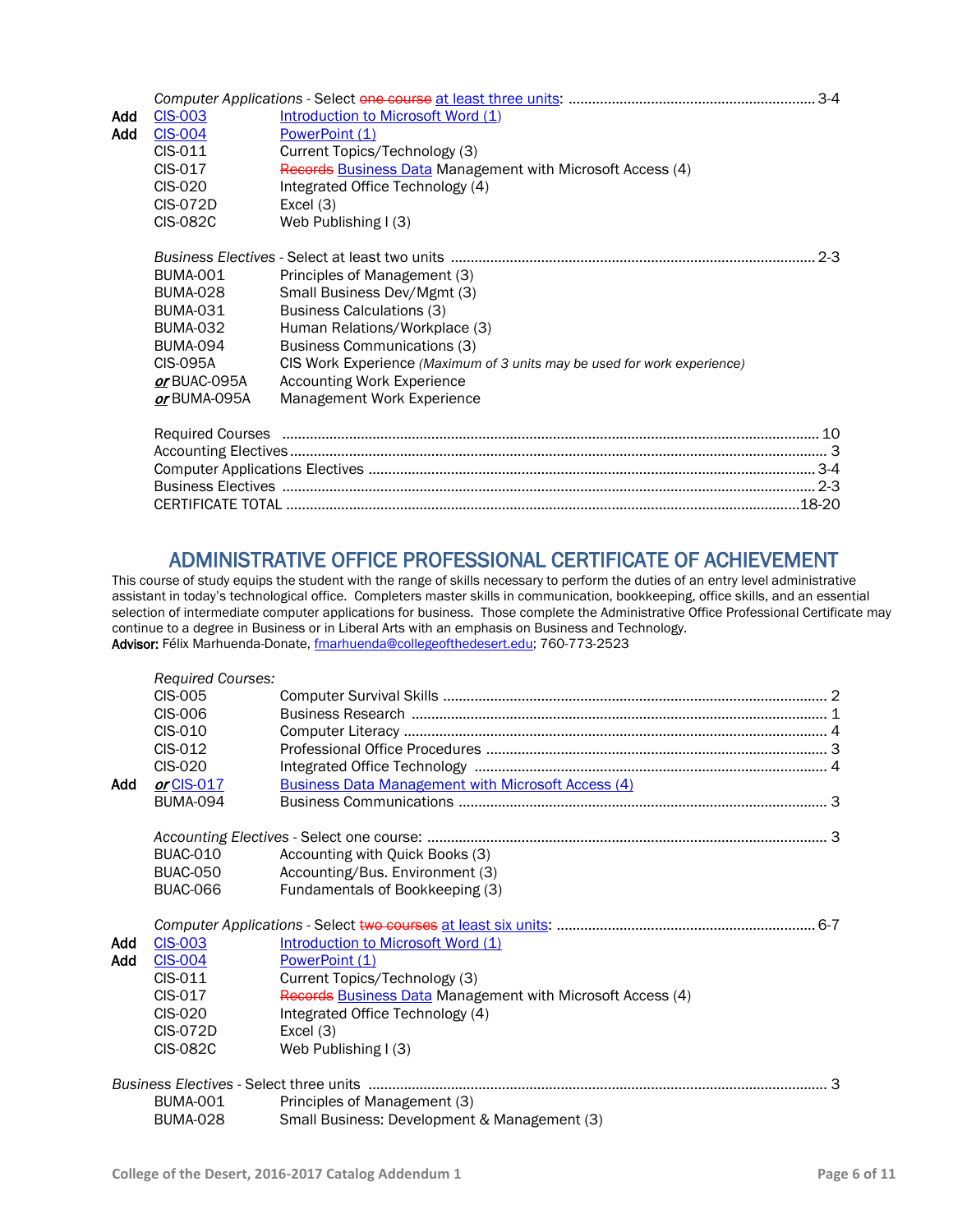|     |                  |                                                                          | $3-4$   |
|-----|------------------|--------------------------------------------------------------------------|---------|
| Add | <b>CIS-003</b>   | Introduction to Microsoft Word (1)                                       |         |
| Add | <b>CIS-004</b>   | PowerPoint (1)                                                           |         |
|     | CIS-011          | Current Topics/Technology (3)                                            |         |
|     | CIS-017          | Records Business Data Management with Microsoft Access (4)               |         |
|     | CIS-020          | Integrated Office Technology (4)                                         |         |
|     | CIS-072D         | Excel $(3)$                                                              |         |
|     | <b>CIS-082C</b>  | Web Publishing I (3)                                                     |         |
|     |                  |                                                                          | $2 - 3$ |
|     | <b>BUMA-001</b>  | Principles of Management (3)                                             |         |
|     | BUMA-028         | Small Business Dev/Mgmt (3)                                              |         |
|     | BUMA-031         | <b>Business Calculations (3)</b>                                         |         |
|     | <b>BUMA-032</b>  | Human Relations/Workplace (3)                                            |         |
|     | BUMA-094         | <b>Business Communications (3)</b>                                       |         |
|     | CIS-095A         | CIS Work Experience (Maximum of 3 units may be used for work experience) |         |
|     | or BUAC-095A     | Accounting Work Experience                                               |         |
|     | or BUMA-095A     | Management Work Experience                                               |         |
|     | Reguired Courses |                                                                          | 10      |

# ADMINISTRATIVE OFFICE PROFESSIONAL CERTIFICATE OF ACHIEVEMENT This course of study equips the student with the range of skills necessary to perform the duties of an entry level administrative

assistant in today's technological office. Completers master skills in communication, bookkeeping, office skills, and an essential selection of intermediate computer applications for business. Those complete the Administrative Office Professional Certificate may continue to a degree in Business or in Liberal Arts with an emphasis on Business and Technology. Advisor: Félix Marhuenda-Donate, [fmarhuenda@collegeofthedesert.edu;](mailto:fmarhuenda@collegeofthedesert.edu) 760-773-2523

|     | <b>Required Courses:</b> |                                                            |  |
|-----|--------------------------|------------------------------------------------------------|--|
|     | <b>CIS-005</b>           |                                                            |  |
|     | CIS-006                  |                                                            |  |
|     | CIS-010                  |                                                            |  |
|     | CIS-012                  |                                                            |  |
|     | CIS-020                  |                                                            |  |
| Add | or CIS-017               | <b>Business Data Management with Microsoft Access (4)</b>  |  |
|     | <b>BUMA-094</b>          |                                                            |  |
|     |                          |                                                            |  |
|     | <b>BUAC-010</b>          | Accounting with Quick Books (3)                            |  |
|     | <b>BUAC-050</b>          | Accounting/Bus. Environment (3)                            |  |
|     | <b>BUAC-066</b>          | Fundamentals of Bookkeeping (3)                            |  |
|     |                          |                                                            |  |
|     |                          |                                                            |  |
| Add | <b>CIS-003</b>           | Introduction to Microsoft Word (1)                         |  |
| Add | <b>CIS-004</b>           | PowerPoint (1)                                             |  |
|     | CIS-011                  | Current Topics/Technology (3)                              |  |
|     | CIS-017                  | Records Business Data Management with Microsoft Access (4) |  |
|     | CIS-020                  | Integrated Office Technology (4)                           |  |
|     | CIS-072D                 | Excel $(3)$                                                |  |
|     | <b>CIS-082C</b>          | Web Publishing I (3)                                       |  |
|     |                          |                                                            |  |
|     | <b>BUMA-001</b>          | Principles of Management (3)                               |  |
|     | <b>BUMA-028</b>          | Small Business: Development & Management (3)               |  |
|     |                          |                                                            |  |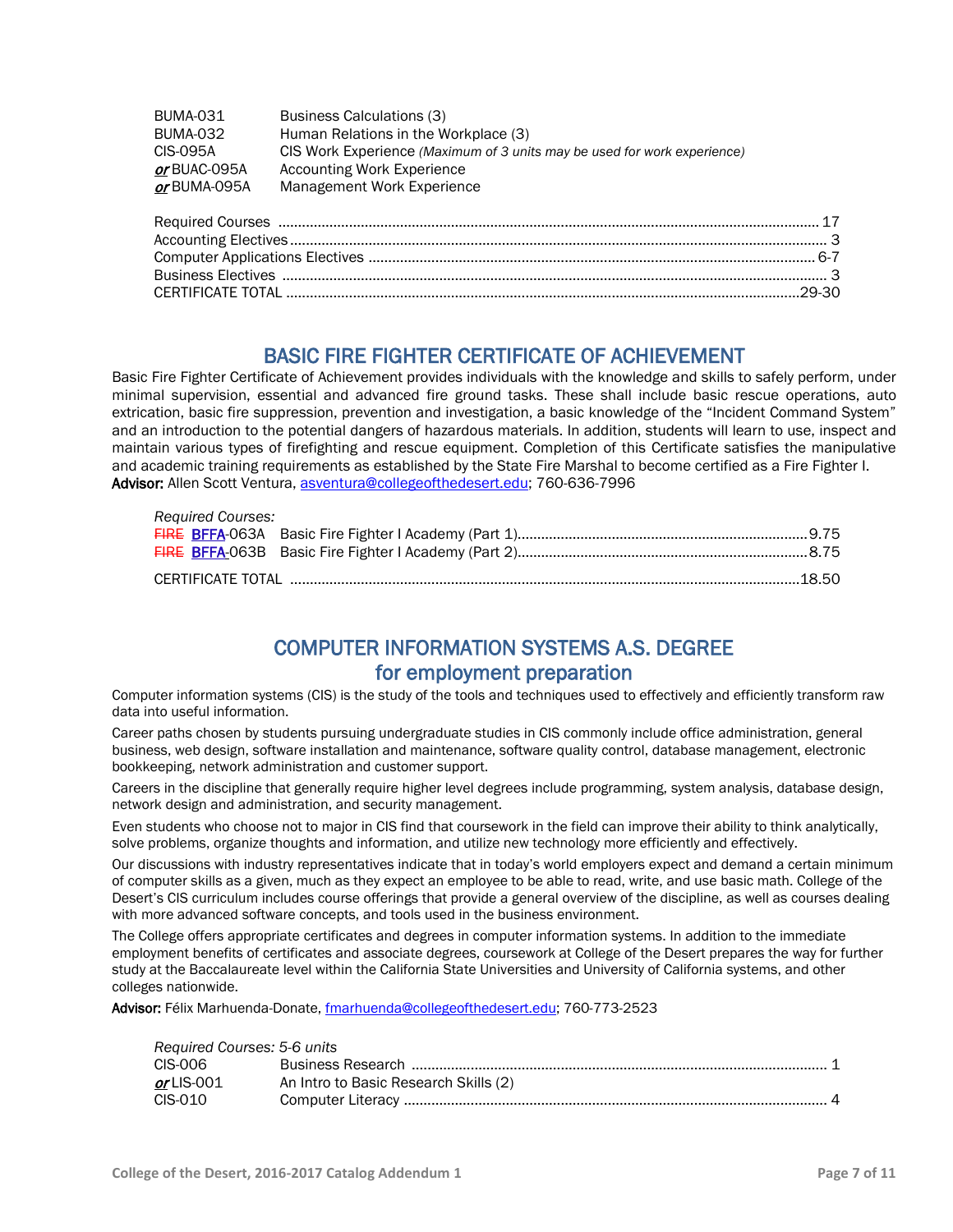| <b>BUMA-031</b> | Business Calculations (3)                                                |
|-----------------|--------------------------------------------------------------------------|
| <b>BUMA-032</b> | Human Relations in the Workplace (3)                                     |
| CIS-095A        | CIS Work Experience (Maximum of 3 units may be used for work experience) |
| or BUAC-095A    | Accounting Work Experience                                               |
| or BUMA-095A    | Management Work Experience                                               |

BASIC FIRE FIGHTER CERTIFICATE OF ACHIEVEMENT<br>Basic Fire Fighter Certificate of Achievement provides individuals with the knowledge and skills to safely perform, under minimal supervision, essential and advanced fire ground tasks. These shall include basic rescue operations, auto extrication, basic fire suppression, prevention and investigation, a basic knowledge of the "Incident Command System" and an introduction to the potential dangers of hazardous materials. In addition, students will learn to use, inspect and maintain various types of firefighting and rescue equipment. Completion of this Certificate satisfies the manipulative and academic training requirements as established by the State Fire Marshal to become certified as a Fire Fighter I. Advisor: Allen Scott Ventura, [asventura@collegeofthedesert.edu;](mailto:asventura@collegeofthedesert.edu) 760-636-7996

| <b>Required Courses:</b> |  |
|--------------------------|--|
|                          |  |
|                          |  |
|                          |  |

# COMPUTER INFORMATION SYSTEMS A.S. DEGREE

**for employment preparation**<br>Computer information systems (CIS) is the study of the tools and techniques used to effectively and efficiently transform raw data into useful information.

Career paths chosen by students pursuing undergraduate studies in CIS commonly include office administration, general business, web design, software installation and maintenance, software quality control, database management, electronic bookkeeping, network administration and customer support.

Careers in the discipline that generally require higher level degrees include programming, system analysis, database design, network design and administration, and security management.

Even students who choose not to major in CIS find that coursework in the field can improve their ability to think analytically, solve problems, organize thoughts and information, and utilize new technology more efficiently and effectively.

Our discussions with industry representatives indicate that in today's world employers expect and demand a certain minimum of computer skills as a given, much as they expect an employee to be able to read, write, and use basic math. College of the Desert's CIS curriculum includes course offerings that provide a general overview of the discipline, as well as courses dealing with more advanced software concepts, and tools used in the business environment.

The College offers appropriate certificates and degrees in computer information systems. In addition to the immediate employment benefits of certificates and associate degrees, coursework at College of the Desert prepares the way for further study at the Baccalaureate level within the California State Universities and University of California systems, and other colleges nationwide.

Advisor: Félix Marhuenda-Donate, [fmarhuenda@collegeofthedesert.edu;](mailto:fmarhuenda@collegeofthedesert.edu) 760-773-2523

### *Required Courses: 5-6 units*

| 100             |                                       |  |  |
|-----------------|---------------------------------------|--|--|
| CIS-006         |                                       |  |  |
| or LIS-001 $\,$ | An Intro to Basic Research Skills (2) |  |  |
| CIS-010         |                                       |  |  |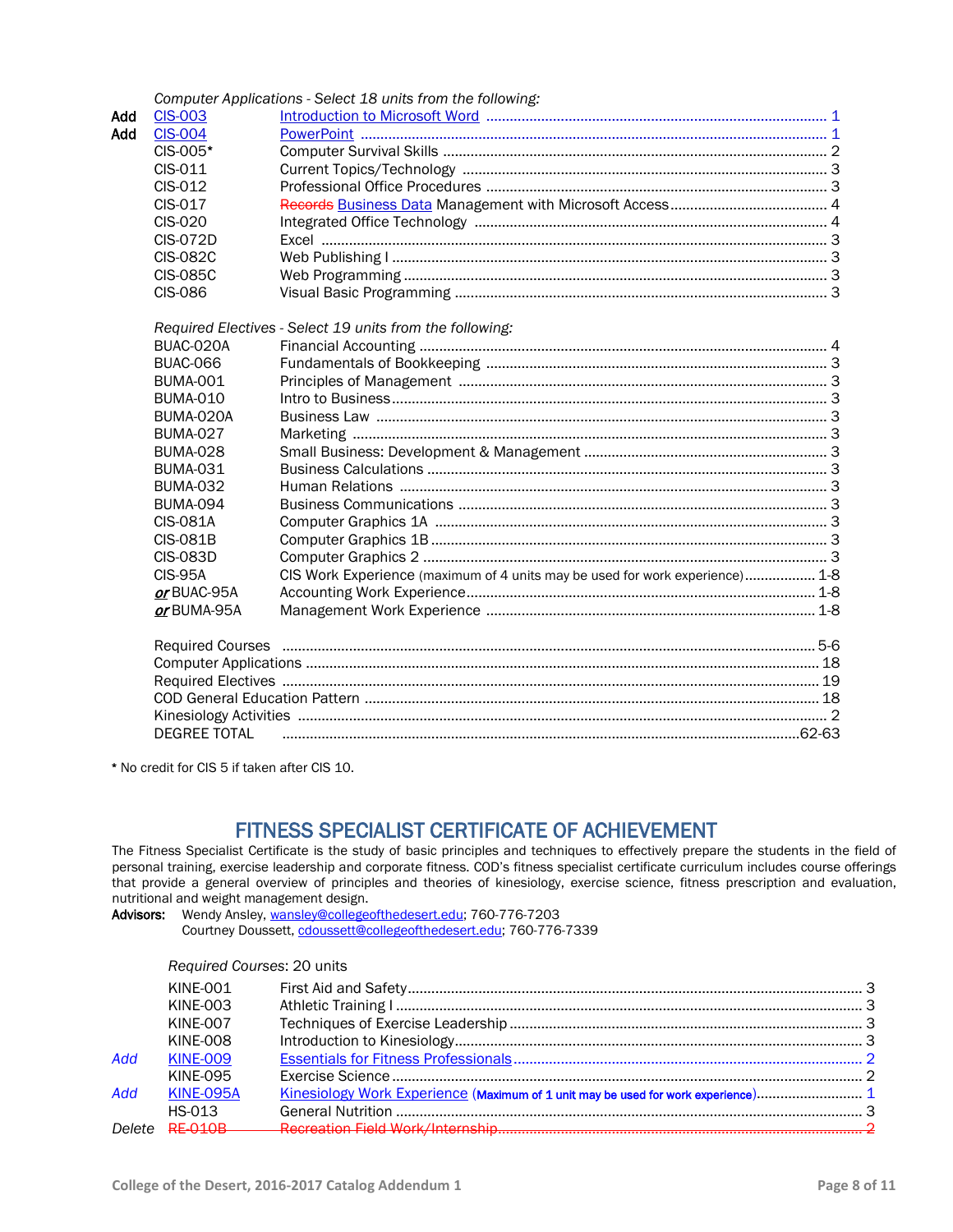|     |                     | Computer Applications - Select 18 units from the following:                  |  |
|-----|---------------------|------------------------------------------------------------------------------|--|
| Add | <b>CIS-003</b>      |                                                                              |  |
| Add | <b>CIS-004</b>      |                                                                              |  |
|     | CIS-005*            |                                                                              |  |
|     | CIS-011             |                                                                              |  |
|     | CIS-012             |                                                                              |  |
|     | CIS-017             |                                                                              |  |
|     | <b>CIS-020</b>      |                                                                              |  |
|     | <b>CIS-072D</b>     |                                                                              |  |
|     | <b>CIS-082C</b>     |                                                                              |  |
|     | <b>CIS-085C</b>     |                                                                              |  |
|     | <b>CIS-086</b>      |                                                                              |  |
|     |                     | Required Electives - Select 19 units from the following:                     |  |
|     | BUAC-020A           |                                                                              |  |
|     | <b>BUAC-066</b>     |                                                                              |  |
|     | <b>BUMA-001</b>     |                                                                              |  |
|     | <b>BUMA-010</b>     |                                                                              |  |
|     | BUMA-020A           |                                                                              |  |
|     | <b>BUMA-027</b>     |                                                                              |  |
|     | <b>BUMA-028</b>     |                                                                              |  |
|     | <b>BUMA-031</b>     |                                                                              |  |
|     | <b>BUMA-032</b>     |                                                                              |  |
|     | <b>BUMA-094</b>     |                                                                              |  |
|     | <b>CIS-081A</b>     |                                                                              |  |
|     | <b>CIS-081B</b>     |                                                                              |  |
|     | <b>CIS-083D</b>     |                                                                              |  |
|     | <b>CIS-95A</b>      | CIS Work Experience (maximum of 4 units may be used for work experience) 1-8 |  |
|     | or BUAC-95A         |                                                                              |  |
|     | or BUMA-95A         |                                                                              |  |
|     |                     |                                                                              |  |
|     |                     |                                                                              |  |
|     |                     |                                                                              |  |
|     |                     |                                                                              |  |
|     |                     |                                                                              |  |
|     | <b>DEGREE TOTAL</b> |                                                                              |  |
|     |                     |                                                                              |  |

\* No credit for CIS 5 if taken after CIS 10.

# FITNESS SPECIALIST CERTIFICATE OF ACHIEVEMENT<br>The Fitness Specialist Certificate is the study of basic principles and techniques to effectively prepare the students in the field of

personal training, exercise leadership and corporate fitness. COD's fitness specialist certificate curriculum includes course offerings that provide a general overview of principles and theories of kinesiology, exercise science, fitness prescription and evaluation, nutritional and weight management design.

Advisors: Wendy Ansley[, wansley@collegeofthedesert.edu;](mailto:wansley@collegeofthedesert.edu) 760-776-7203 Courtney Doussett[, cdoussett@collegeofthedesert.edu;](mailto:cdoussett@collegeofthedesert.edu) 760-776-7339

### *Required Courses*: 20 units

|     | KINE-001         |                                                                                   |  |
|-----|------------------|-----------------------------------------------------------------------------------|--|
|     | KINE-003         |                                                                                   |  |
|     | KINE-007         |                                                                                   |  |
|     | KINE-008         |                                                                                   |  |
| Add | <b>KINE-009</b>  |                                                                                   |  |
|     | KINE-095         |                                                                                   |  |
| Add | <b>KINE-095A</b> | Kinesiology Work Experience (Maximum of 1 unit may be used for work experience) 1 |  |
|     | HS-013           |                                                                                   |  |
|     |                  |                                                                                   |  |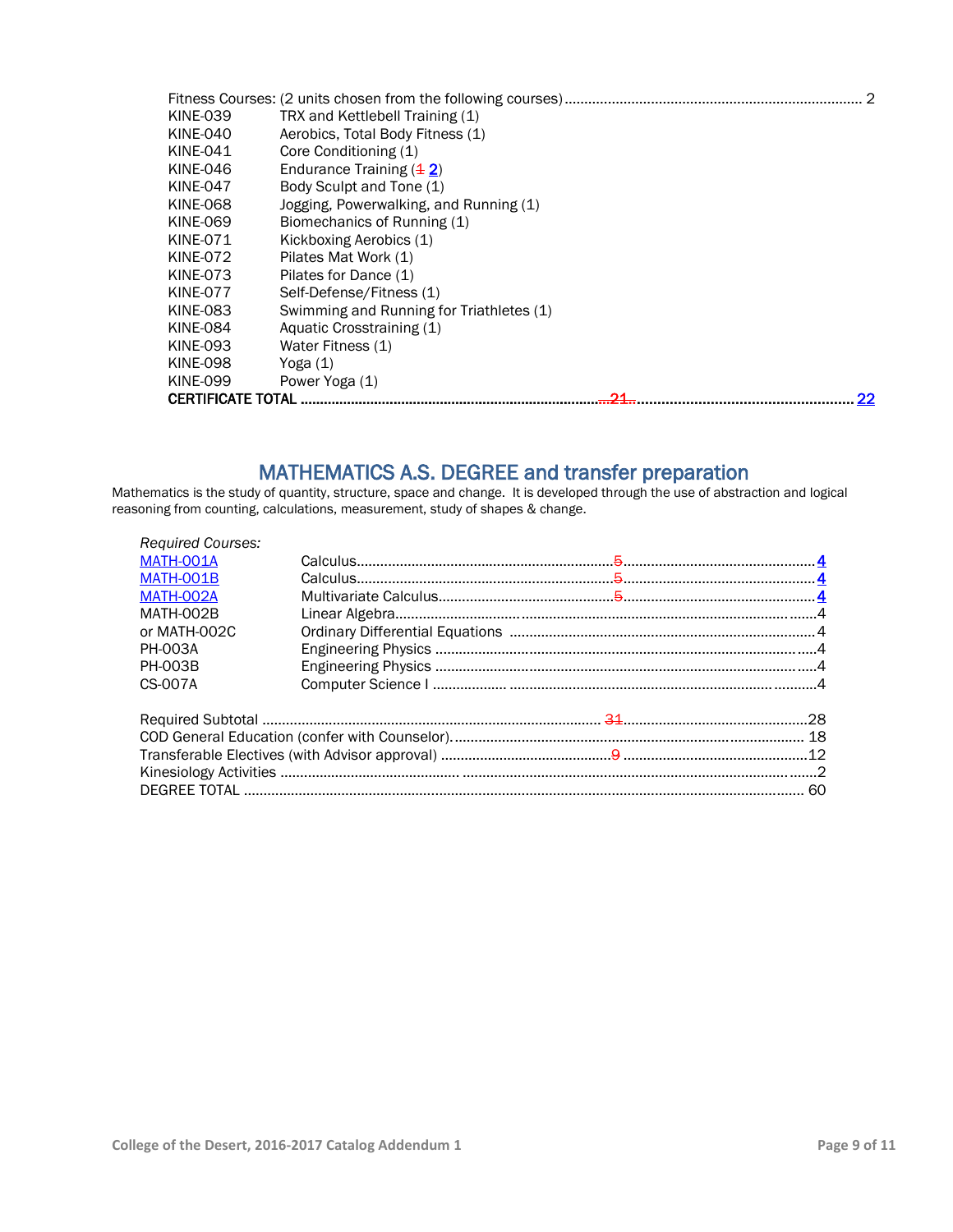| <b>KINE-039</b>          | TRX and Kettlebell Training (1)          |
|--------------------------|------------------------------------------|
| <b>KINE-040</b>          | Aerobics, Total Body Fitness (1)         |
| <b>KINE-041</b>          | Core Conditioning (1)                    |
| KINE-046                 | Endurance Training $(4 2)$               |
| KINE-047                 | Body Sculpt and Tone (1)                 |
| <b>KINE-068</b>          | Jogging, Powerwalking, and Running (1)   |
| <b>KINE-069</b>          | Biomechanics of Running (1)              |
| <b>KINE-071</b>          | Kickboxing Aerobics (1)                  |
| <b>KINE-072</b>          | Pilates Mat Work (1)                     |
| <b>KINE-073</b>          | Pilates for Dance (1)                    |
| <b>KINE-077</b>          | Self-Defense/Fitness (1)                 |
| <b>KINE-083</b>          | Swimming and Running for Triathletes (1) |
| <b>KINE-084</b>          | Aquatic Crosstraining (1)                |
| <b>KINE-093</b>          | Water Fitness (1)                        |
| <b>KINE-098</b>          | Yoga (1)                                 |
| <b>KINE-099</b>          | Power Yoga (1)                           |
| <b>CERTIFICATE TOTAL</b> | 22                                       |

MATHEMATICS A.S. DEGREE and transfer preparation<br>Mathematics is the study of quantity, structure, space and change. It is developed through the use of abstraction and logical reasoning from counting, calculations, measurement, study of shapes & change.

| <b>Required Courses:</b> |  |  |    |
|--------------------------|--|--|----|
| MATH-001A                |  |  |    |
| MATH-001B                |  |  |    |
| MATH-002A                |  |  |    |
| MATH-002B                |  |  |    |
| or MATH-002C             |  |  |    |
| <b>PH-003A</b>           |  |  |    |
| <b>PH-003B</b>           |  |  |    |
| CS-007A                  |  |  |    |
|                          |  |  |    |
|                          |  |  |    |
|                          |  |  |    |
|                          |  |  |    |
|                          |  |  | 60 |
|                          |  |  |    |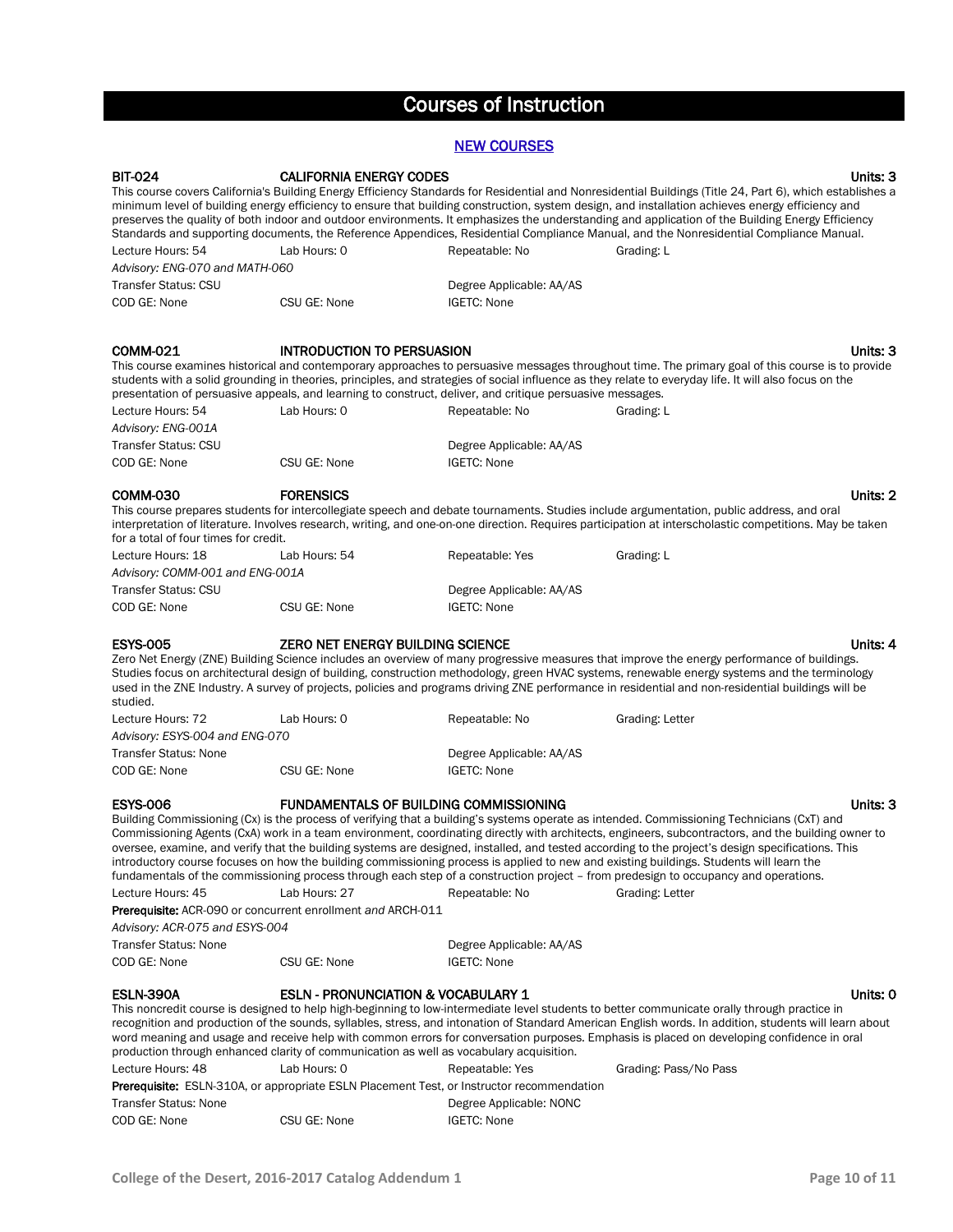## Courses of Instruction

### NEW COURSES

| <b>BIT-024</b>                                                                                                                                                                                                                                                                                                                                                                                   | <b>CALIFORNIA ENERGY CODES</b>                                                                                                                                                                                                                     |                          | Units: 3                                                                                                                                                                                                                                                                                                                                                                                                                                                                                                                                                                                                                                                                                                                                                   |
|--------------------------------------------------------------------------------------------------------------------------------------------------------------------------------------------------------------------------------------------------------------------------------------------------------------------------------------------------------------------------------------------------|----------------------------------------------------------------------------------------------------------------------------------------------------------------------------------------------------------------------------------------------------|--------------------------|------------------------------------------------------------------------------------------------------------------------------------------------------------------------------------------------------------------------------------------------------------------------------------------------------------------------------------------------------------------------------------------------------------------------------------------------------------------------------------------------------------------------------------------------------------------------------------------------------------------------------------------------------------------------------------------------------------------------------------------------------------|
|                                                                                                                                                                                                                                                                                                                                                                                                  |                                                                                                                                                                                                                                                    |                          | This course covers California's Building Energy Efficiency Standards for Residential and Nonresidential Buildings (Title 24, Part 6), which establishes a<br>minimum level of building energy efficiency to ensure that building construction, system design, and installation achieves energy efficiency and<br>preserves the quality of both indoor and outdoor environments. It emphasizes the understanding and application of the Building Energy Efficiency<br>Standards and supporting documents, the Reference Appendices, Residential Compliance Manual, and the Nonresidential Compliance Manual.                                                                                                                                                |
| Lecture Hours: 54                                                                                                                                                                                                                                                                                                                                                                                | Lab Hours: 0                                                                                                                                                                                                                                       | Repeatable: No           | Grading: L                                                                                                                                                                                                                                                                                                                                                                                                                                                                                                                                                                                                                                                                                                                                                 |
| Advisory: ENG-070 and MATH-060                                                                                                                                                                                                                                                                                                                                                                   |                                                                                                                                                                                                                                                    |                          |                                                                                                                                                                                                                                                                                                                                                                                                                                                                                                                                                                                                                                                                                                                                                            |
| <b>Transfer Status: CSU</b>                                                                                                                                                                                                                                                                                                                                                                      |                                                                                                                                                                                                                                                    | Degree Applicable: AA/AS |                                                                                                                                                                                                                                                                                                                                                                                                                                                                                                                                                                                                                                                                                                                                                            |
| COD GE: None                                                                                                                                                                                                                                                                                                                                                                                     | CSU GE: None                                                                                                                                                                                                                                       | <b>IGETC: None</b>       |                                                                                                                                                                                                                                                                                                                                                                                                                                                                                                                                                                                                                                                                                                                                                            |
| <b>COMM-021</b>                                                                                                                                                                                                                                                                                                                                                                                  | <b>INTRODUCTION TO PERSUASION</b><br>presentation of persuasive appeals, and learning to construct, deliver, and critique persuasive messages.                                                                                                     |                          | Units: 3<br>This course examines historical and contemporary approaches to persuasive messages throughout time. The primary goal of this course is to provide<br>students with a solid grounding in theories, principles, and strategies of social influence as they relate to everyday life. It will also focus on the                                                                                                                                                                                                                                                                                                                                                                                                                                    |
| Lecture Hours: 54                                                                                                                                                                                                                                                                                                                                                                                | Lab Hours: 0                                                                                                                                                                                                                                       | Repeatable: No           | Grading: L                                                                                                                                                                                                                                                                                                                                                                                                                                                                                                                                                                                                                                                                                                                                                 |
| Advisory: ENG-001A                                                                                                                                                                                                                                                                                                                                                                               |                                                                                                                                                                                                                                                    |                          |                                                                                                                                                                                                                                                                                                                                                                                                                                                                                                                                                                                                                                                                                                                                                            |
| <b>Transfer Status: CSU</b>                                                                                                                                                                                                                                                                                                                                                                      |                                                                                                                                                                                                                                                    | Degree Applicable: AA/AS |                                                                                                                                                                                                                                                                                                                                                                                                                                                                                                                                                                                                                                                                                                                                                            |
| COD GE: None                                                                                                                                                                                                                                                                                                                                                                                     | CSU GE: None                                                                                                                                                                                                                                       | <b>IGETC: None</b>       |                                                                                                                                                                                                                                                                                                                                                                                                                                                                                                                                                                                                                                                                                                                                                            |
| <b>COMM-030</b><br><b>FORENSICS</b><br>Units: 2<br>This course prepares students for intercollegiate speech and debate tournaments. Studies include argumentation, public address, and oral<br>interpretation of literature. Involves research, writing, and one-on-one direction. Requires participation at interscholastic competitions. May be taken<br>for a total of four times for credit. |                                                                                                                                                                                                                                                    |                          |                                                                                                                                                                                                                                                                                                                                                                                                                                                                                                                                                                                                                                                                                                                                                            |
| Lecture Hours: 18                                                                                                                                                                                                                                                                                                                                                                                | Lab Hours: 54                                                                                                                                                                                                                                      | Repeatable: Yes          | Grading: L                                                                                                                                                                                                                                                                                                                                                                                                                                                                                                                                                                                                                                                                                                                                                 |
| Advisory: COMM-001 and ENG-001A                                                                                                                                                                                                                                                                                                                                                                  |                                                                                                                                                                                                                                                    |                          |                                                                                                                                                                                                                                                                                                                                                                                                                                                                                                                                                                                                                                                                                                                                                            |
| <b>Transfer Status: CSU</b>                                                                                                                                                                                                                                                                                                                                                                      |                                                                                                                                                                                                                                                    | Degree Applicable: AA/AS |                                                                                                                                                                                                                                                                                                                                                                                                                                                                                                                                                                                                                                                                                                                                                            |
| COD GE: None                                                                                                                                                                                                                                                                                                                                                                                     | CSU GE: None                                                                                                                                                                                                                                       | <b>IGETC: None</b>       |                                                                                                                                                                                                                                                                                                                                                                                                                                                                                                                                                                                                                                                                                                                                                            |
| <b>ESYS-005</b><br>studied.                                                                                                                                                                                                                                                                                                                                                                      | ZERO NET ENERGY BUILDING SCIENCE                                                                                                                                                                                                                   |                          | Units: 4<br>Zero Net Energy (ZNE) Building Science includes an overview of many progressive measures that improve the energy performance of buildings.<br>Studies focus on architectural design of building, construction methodology, green HVAC systems, renewable energy systems and the terminology<br>used in the ZNE Industry. A survey of projects, policies and programs driving ZNE performance in residential and non-residential buildings will be                                                                                                                                                                                                                                                                                              |
| Lecture Hours: 72                                                                                                                                                                                                                                                                                                                                                                                | Lab Hours: 0                                                                                                                                                                                                                                       | Repeatable: No           | Grading: Letter                                                                                                                                                                                                                                                                                                                                                                                                                                                                                                                                                                                                                                                                                                                                            |
| Advisory: ESYS-004 and ENG-070                                                                                                                                                                                                                                                                                                                                                                   |                                                                                                                                                                                                                                                    |                          |                                                                                                                                                                                                                                                                                                                                                                                                                                                                                                                                                                                                                                                                                                                                                            |
| <b>Transfer Status: None</b>                                                                                                                                                                                                                                                                                                                                                                     |                                                                                                                                                                                                                                                    | Degree Applicable: AA/AS |                                                                                                                                                                                                                                                                                                                                                                                                                                                                                                                                                                                                                                                                                                                                                            |
| COD GE: None                                                                                                                                                                                                                                                                                                                                                                                     | CSU GE: None                                                                                                                                                                                                                                       | <b>IGETC: None</b>       |                                                                                                                                                                                                                                                                                                                                                                                                                                                                                                                                                                                                                                                                                                                                                            |
| <b>ESYS-006</b>                                                                                                                                                                                                                                                                                                                                                                                  | <b>FUNDAMENTALS OF BUILDING COMMISSIONING</b>                                                                                                                                                                                                      |                          | Units: 3                                                                                                                                                                                                                                                                                                                                                                                                                                                                                                                                                                                                                                                                                                                                                   |
| Lecture Hours: 45                                                                                                                                                                                                                                                                                                                                                                                | Lab Hours: 27                                                                                                                                                                                                                                      | Repeatable: No           | Building Commissioning (Cx) is the process of verifying that a building's systems operate as intended. Commissioning Technicians (CxT) and<br>Commissioning Agents (CxA) work in a team environment, coordinating directly with architects, engineers, subcontractors, and the building owner to<br>oversee, examine, and verify that the building systems are designed, installed, and tested according to the project's design specifications. This<br>introductory course focuses on how the building commissioning process is applied to new and existing buildings. Students will learn the<br>fundamentals of the commissioning process through each step of a construction project - from predesign to occupancy and operations.<br>Grading: Letter |
|                                                                                                                                                                                                                                                                                                                                                                                                  | <b>Prerequisite:</b> ACR-090 or concurrent enrollment and ARCH-011                                                                                                                                                                                 |                          |                                                                                                                                                                                                                                                                                                                                                                                                                                                                                                                                                                                                                                                                                                                                                            |
| Advisory: ACR-075 and ESYS-004                                                                                                                                                                                                                                                                                                                                                                   |                                                                                                                                                                                                                                                    |                          |                                                                                                                                                                                                                                                                                                                                                                                                                                                                                                                                                                                                                                                                                                                                                            |
| <b>Transfer Status: None</b>                                                                                                                                                                                                                                                                                                                                                                     |                                                                                                                                                                                                                                                    | Degree Applicable: AA/AS |                                                                                                                                                                                                                                                                                                                                                                                                                                                                                                                                                                                                                                                                                                                                                            |
| COD GE: None                                                                                                                                                                                                                                                                                                                                                                                     | CSU GE: None                                                                                                                                                                                                                                       | <b>IGETC: None</b>       |                                                                                                                                                                                                                                                                                                                                                                                                                                                                                                                                                                                                                                                                                                                                                            |
| <b>ESLN-390A</b><br>Lecture Hours: 48                                                                                                                                                                                                                                                                                                                                                            | ESLN - PRONUNCIATION & VOCABULARY 1<br>production through enhanced clarity of communication as well as vocabulary acquisition.<br>Lab Hours: 0<br><b>Prerequisite:</b> ESLN-310A, or appropriate ESLN Placement Test, or Instructor recommendation | Repeatable: Yes          | Units: 0<br>This noncredit course is designed to help high-beginning to low-intermediate level students to better communicate orally through practice in<br>recognition and production of the sounds, syllables, stress, and intonation of Standard American English words. In addition, students will learn about<br>word meaning and usage and receive help with common errors for conversation purposes. Emphasis is placed on developing confidence in oral<br>Grading: Pass/No Pass                                                                                                                                                                                                                                                                   |
| <b>Transfer Status: None</b>                                                                                                                                                                                                                                                                                                                                                                     |                                                                                                                                                                                                                                                    | Degree Applicable: NONC  |                                                                                                                                                                                                                                                                                                                                                                                                                                                                                                                                                                                                                                                                                                                                                            |
| COD GE: None                                                                                                                                                                                                                                                                                                                                                                                     | CSU GE: None                                                                                                                                                                                                                                       | IGETC: None              |                                                                                                                                                                                                                                                                                                                                                                                                                                                                                                                                                                                                                                                                                                                                                            |